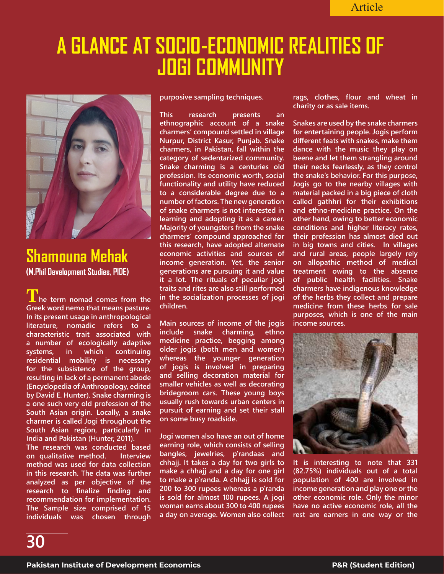## **A GLANCE AT SOCIO-ECONOMIC REALITIES OF JOGI COMMUNITY**



**Shamouna Mehak (M.Phil Development Studies, PIDE)**

**The term nomad comes from the Greek word nemo that means pasture. In its present usage in anthropological literature, nomadic refers to a characteristic trait associated with a number of ecologically adaptive systems, in which continuing residential mobility is necessary for the subsistence of the group, resulting in lack of a permanent abode (Encyclopedia of Anthropology, edited by David E. Hunter). Snake charming is a one such very old profession of the South Asian origin. Locally, a snake charmer is called Jogi throughout the South Asian region, particularly in India and Pakistan (Hunter, 2011).**

**The research was conducted based on qualitative method. Interview method was used for data collection in this research. The data was further analyzed as per objective of the research to finalize finding and recommendation for implementation. The Sample size comprised of 15 individuals was chosen through** 

**purposive sampling techniques.**

**This research presents an ethnographic account of a snake charmers' compound settled in village Nurpur, District Kasur, Punjab. Snake charmers, in Pakistan, fall within the category of sedentarized community. Snake charming is a centuries old profession. Its economic worth, social functionality and utility have reduced to a considerable degree due to a number of factors. The new generation of snake charmers is not interested in learning and adopting it as a career. Majority of youngsters from the snake charmers' compound approached for this research, have adopted alternate economic activities and sources of income generation. Yet, the senior generations are pursuing it and value it a lot. The rituals of peculiar jogi traits and rites are also still performed in the socialization processes of jogi children.** 

**Main sources of income of the jogis include snake charming, ethno medicine practice, begging among older jogis (both men and women) whereas the younger generation of jogis is involved in preparing and selling decoration material for smaller vehicles as well as decorating bridegroom cars. These young boys usually rush towards urban centers in pursuit of earning and set their stall on some busy roadside.** 

**Jogi women also have an out of home earning role, which consists of selling bangles, jewelries, p'randaas and chhajj. It takes a day for two girls to make a chhajj and a day for one girl to make a p'randa. A chhajj is sold for 200 to 300 rupees whereas a p'randa is sold for almost 100 rupees. A jogi woman earns about 300 to 400 rupees a day on average. Women also collect**  **rags, clothes, flour and wheat in charity or as sale items.** 

**Snakes are used by the snake charmers for entertaining people. Jogis perform different feats with snakes, make them dance with the music they play on beene and let them strangling around their necks fearlessly, as they control the snake's behavior. For this purpose, Jogis go to the nearby villages with material packed in a big piece of cloth called gathhri for their exhibitions and ethno-medicine practice. On the other hand, owing to better economic conditions and higher literacy rates, their profession has almost died out in big towns and cities. In villages and rural areas, people largely rely on allopathic method of medical treatment owing to the absence of public health facilities. Snake charmers have indigenous knowledge of the herbs they collect and prepare medicine from these herbs for sale purposes, which is one of the main income sources.** 



**It is interesting to note that 331 (82.75%) individuals out of a total population of 400 are involved in income generation and play one or the other economic role. Only the minor have no active economic role, all the rest are earners in one way or the**